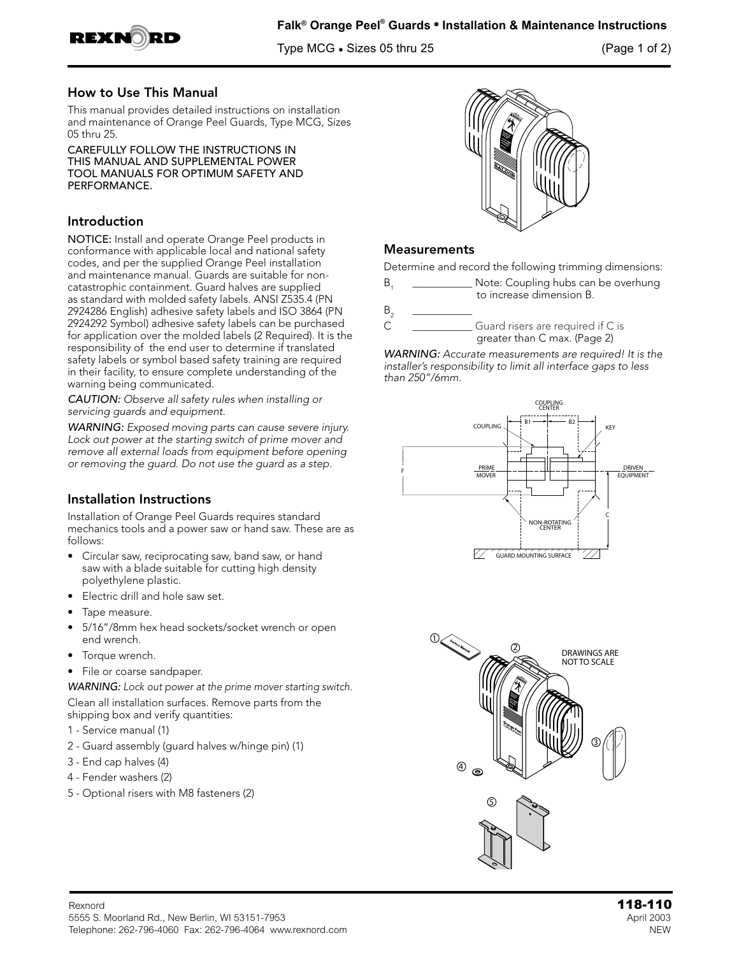

Type MCG • Sizes 05 thru 25 (Page 1 of 2)

#### How to Use This Manual

This manual provides detailed instructions on installation and maintenance of Orange Peel Guards, Type MCG, Sizes 05 thru 25.

CAREFULLY FOLLOW THE INSTRUCTIONS IN THIS MANUAL AND SUPPLEMENTAL POWER TOOL MANUALS FOR OPTIMUM SAFETY AND PERFORMANCE.

#### Introduction

NOTICE: Install and operate Orange Peel products in conformance with applicable local and national safety codes, and per the supplied Orange Peel installation and maintenance manual. Guards are suitable for noncatastrophic containment. Guard halves are supplied as standard with molded safety labels. ANSI Z535.4 (PN 2924286 English) adhesive safety labels and ISO 3864 (PN 2924292 Symbol) adhesive safety labels can be purchased for application over the molded labels (2 Required). It is the responsibility of the end user to determine if translated safety labels or symbol based safety training are required in their facility, to ensure complete understanding of the warning being communicated.

*CAUTION: Observe all safety rules when installing or servicing guards and equipment.*

*WARNING: Exposed moving parts can cause severe injury. Lock out power at the starting switch of prime mover and remove all external loads from equipment before opening or removing the guard. Do not use the guard as a step.*

### Installation Instructions

Installation of Orange Peel Guards requires standard mechanics tools and a power saw or hand saw. These are as follows:

- Circular saw, reciprocating saw, band saw, or hand saw with a blade suitable for cutting high density polyethylene plastic.
- Electric drill and hole saw set.
- Tape measure.
- 5/16"/8mm hex head sockets/socket wrench or open end wrench.
- Torque wrench.
- File or coarse sandpaper.

*WARNING: Lock out power at the prime mover starting switch.* Clean all installation surfaces. Remove parts from the shipping box and verify quantities:

- 1 Service manual (1)
- 2 Guard assembly (guard halves w/hinge pin) (1)
- 3 End cap halves (4)
- 4 Fender washers (2)
- 5 Optional risers with M8 fasteners (2)



#### **Measurements**

Determine and record the following trimming dimensions:

- B<sub>1</sub> Note: Coupling hubs can be overhung to increase dimension B.
- B2 \_\_\_\_\_\_\_\_\_\_\_ C \_\_\_\_\_\_\_\_\_\_\_ Guard risers are required if C is
	- greater than C max. (Page 2)

*WARNING: Accurate measurements are required! It is the installer's responsibility to limit all interface gaps to less than 250"/6mm.*